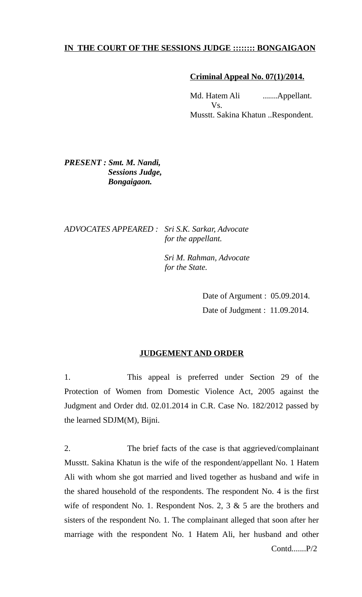## **IN THE COURT OF THE SESSIONS JUDGE :::::::: BONGAIGAON**

#### **Criminal Appeal No. 07(1)/2014.**

Md. Hatem Ali .......Appellant. Vs. Musstt. Sakina Khatun ..Respondent.

# *PRESENT : Smt. M. Nandi, Sessions Judge, Bongaigaon.*

## *ADVOCATES APPEARED : Sri S.K. Sarkar, Advocate for the appellant.*

 *Sri M. Rahman, Advocate for the State.*

> Date of Argument : 05.09.2014. Date of Judgment : 11.09.2014.

## **JUDGEMENT AND ORDER**

1. This appeal is preferred under Section 29 of the Protection of Women from Domestic Violence Act, 2005 against the Judgment and Order dtd. 02.01.2014 in C.R. Case No. 182/2012 passed by the learned SDJM(M), Bijni.

2. The brief facts of the case is that aggrieved/complainant Musstt. Sakina Khatun is the wife of the respondent/appellant No. 1 Hatem Ali with whom she got married and lived together as husband and wife in the shared household of the respondents. The respondent No. 4 is the first wife of respondent No. 1. Respondent Nos. 2, 3 & 5 are the brothers and sisters of the respondent No. 1. The complainant alleged that soon after her marriage with the respondent No. 1 Hatem Ali, her husband and other Contd.......P/2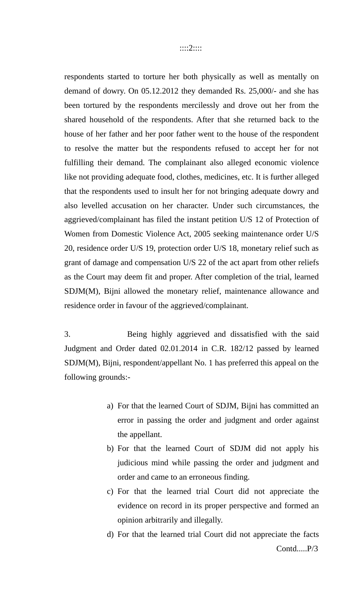respondents started to torture her both physically as well as mentally on demand of dowry. On 05.12.2012 they demanded Rs. 25,000/- and she has been tortured by the respondents mercilessly and drove out her from the shared household of the respondents. After that she returned back to the house of her father and her poor father went to the house of the respondent to resolve the matter but the respondents refused to accept her for not fulfilling their demand. The complainant also alleged economic violence like not providing adequate food, clothes, medicines, etc. It is further alleged that the respondents used to insult her for not bringing adequate dowry and also levelled accusation on her character. Under such circumstances, the aggrieved/complainant has filed the instant petition U/S 12 of Protection of Women from Domestic Violence Act, 2005 seeking maintenance order U/S 20, residence order U/S 19, protection order U/S 18, monetary relief such as grant of damage and compensation U/S 22 of the act apart from other reliefs as the Court may deem fit and proper. After completion of the trial, learned SDJM(M), Bijni allowed the monetary relief, maintenance allowance and residence order in favour of the aggrieved/complainant.

3. Being highly aggrieved and dissatisfied with the said Judgment and Order dated 02.01.2014 in C.R. 182/12 passed by learned SDJM(M), Bijni, respondent/appellant No. 1 has preferred this appeal on the following grounds:-

- a) For that the learned Court of SDJM, Bijni has committed an error in passing the order and judgment and order against the appellant.
- b) For that the learned Court of SDJM did not apply his judicious mind while passing the order and judgment and order and came to an erroneous finding.
- c) For that the learned trial Court did not appreciate the evidence on record in its proper perspective and formed an opinion arbitrarily and illegally.
- d) For that the learned trial Court did not appreciate the facts Contd.....P/3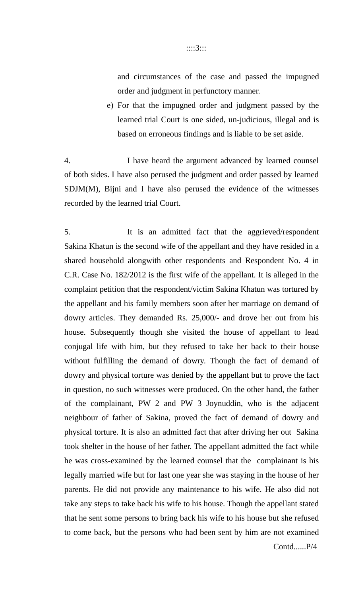#### ::::3:::

and circumstances of the case and passed the impugned order and judgment in perfunctory manner.

e) For that the impugned order and judgment passed by the learned trial Court is one sided, un-judicious, illegal and is based on erroneous findings and is liable to be set aside.

4. I have heard the argument advanced by learned counsel of both sides. I have also perused the judgment and order passed by learned SDJM(M), Bijni and I have also perused the evidence of the witnesses recorded by the learned trial Court.

5. It is an admitted fact that the aggrieved/respondent Sakina Khatun is the second wife of the appellant and they have resided in a shared household alongwith other respondents and Respondent No. 4 in C.R. Case No. 182/2012 is the first wife of the appellant. It is alleged in the complaint petition that the respondent/victim Sakina Khatun was tortured by the appellant and his family members soon after her marriage on demand of dowry articles. They demanded Rs. 25,000/- and drove her out from his house. Subsequently though she visited the house of appellant to lead conjugal life with him, but they refused to take her back to their house without fulfilling the demand of dowry. Though the fact of demand of dowry and physical torture was denied by the appellant but to prove the fact in question, no such witnesses were produced. On the other hand, the father of the complainant, PW 2 and PW 3 Joynuddin, who is the adjacent neighbour of father of Sakina, proved the fact of demand of dowry and physical torture. It is also an admitted fact that after driving her out Sakina took shelter in the house of her father. The appellant admitted the fact while he was cross-examined by the learned counsel that the complainant is his legally married wife but for last one year she was staying in the house of her parents. He did not provide any maintenance to his wife. He also did not take any steps to take back his wife to his house. Though the appellant stated that he sent some persons to bring back his wife to his house but she refused to come back, but the persons who had been sent by him are not examined Contd......P/4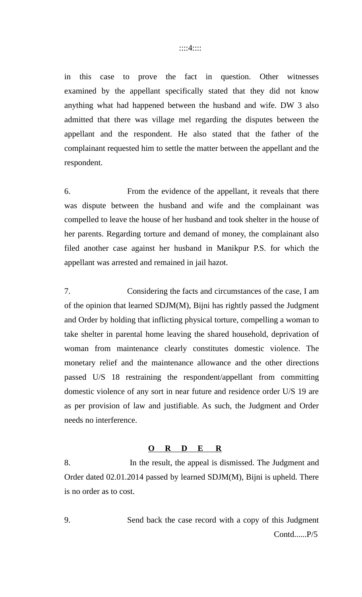in this case to prove the fact in question. Other witnesses examined by the appellant specifically stated that they did not know anything what had happened between the husband and wife. DW 3 also admitted that there was village mel regarding the disputes between the appellant and the respondent. He also stated that the father of the complainant requested him to settle the matter between the appellant and the respondent.

6. From the evidence of the appellant, it reveals that there was dispute between the husband and wife and the complainant was compelled to leave the house of her husband and took shelter in the house of her parents. Regarding torture and demand of money, the complainant also filed another case against her husband in Manikpur P.S. for which the appellant was arrested and remained in jail hazot.

7. Considering the facts and circumstances of the case, I am of the opinion that learned SDJM(M), Bijni has rightly passed the Judgment and Order by holding that inflicting physical torture, compelling a woman to take shelter in parental home leaving the shared household, deprivation of woman from maintenance clearly constitutes domestic violence. The monetary relief and the maintenance allowance and the other directions passed U/S 18 restraining the respondent/appellant from committing domestic violence of any sort in near future and residence order U/S 19 are as per provision of law and justifiable. As such, the Judgment and Order needs no interference.

#### **O R D E R**

8. In the result, the appeal is dismissed. The Judgment and Order dated 02.01.2014 passed by learned SDJM(M), Bijni is upheld. There is no order as to cost.

9. Send back the case record with a copy of this Judgment Contd......P/5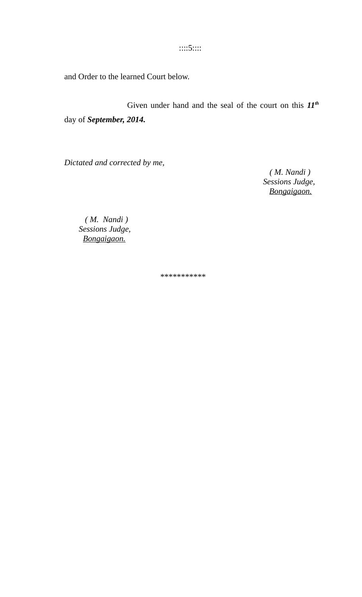::::5::::

and Order to the learned Court below.

Given under hand and the seal of the court on this *11th* day of *September, 2014.*

*Dictated and corrected by me,*

 *( M. Nandi ) Sessions Judge, Bongaigaon.*

 *( M. Nandi ) Sessions Judge, Bongaigaon.*

\*\*\*\*\*\*\*\*\*\*\*